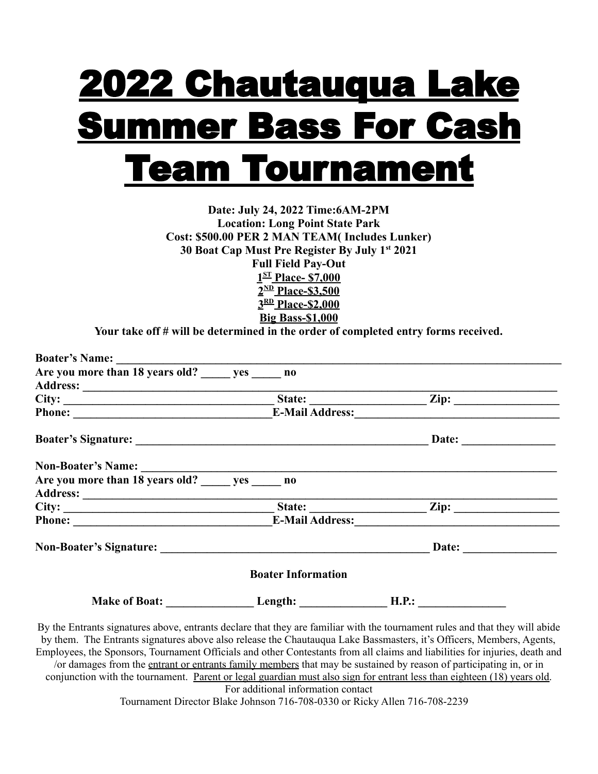## 2022 Chautauqua Lake Summer Bass For Cash Team Tournament

**Date: July 24, 2022 Time:6AM-2PM Location: Long Point State Park Cost: \$500.00 PER 2 MAN TEAM( Includes Lunker) 30 Boat Cap Must Pre Register By July 1st 2021 Full Field Pay-Out 1 ST Place- \$7,000 2 ND Place-\$3,500 3 RD Place-\$2,000 Big Bass-\$1,000**

**Your take off # will be determined in the order of completed entry forms received.**

| Are you more than 18 years old? yes no                                                                                                                                                                                              |                           |                       |
|-------------------------------------------------------------------------------------------------------------------------------------------------------------------------------------------------------------------------------------|---------------------------|-----------------------|
| Address: <u>State:</u> <u>State: Zip: Zip:</u>                                                                                                                                                                                      |                           |                       |
|                                                                                                                                                                                                                                     |                           |                       |
| Phone: <u>Cambridge Represent and Taures Represent and Address:</u> Cambridge Represent and Taures and Taures and Taures and Taures and Taures and Taures and Taures and Taures and Taures and Taures and Taures and Taures and Tau |                           |                       |
|                                                                                                                                                                                                                                     |                           | Date: $\qquad \qquad$ |
|                                                                                                                                                                                                                                     |                           |                       |
| Non-Boater's Name:<br>Are you more than 18 years old? ______ yes ______ no                                                                                                                                                          |                           |                       |
|                                                                                                                                                                                                                                     |                           |                       |
|                                                                                                                                                                                                                                     |                           |                       |
| Phone: <u>E-Mail Address:</u>                                                                                                                                                                                                       |                           |                       |
|                                                                                                                                                                                                                                     |                           |                       |
|                                                                                                                                                                                                                                     | <b>Boater Information</b> |                       |
|                                                                                                                                                                                                                                     |                           |                       |

By the Entrants signatures above, entrants declare that they are familiar with the tournament rules and that they will abide by them. The Entrants signatures above also release the Chautauqua Lake Bassmasters, it's Officers, Members, Agents, Employees, the Sponsors, Tournament Officials and other Contestants from all claims and liabilities for injuries, death and /or damages from the entrant or entrants family members that may be sustained by reason of participating in, or in conjunction with the tournament. Parent or legal guardian must also sign for entrant less than eighteen (18) years old. For additional information contact

Tournament Director Blake Johnson 716-708-0330 or Ricky Allen 716-708-2239